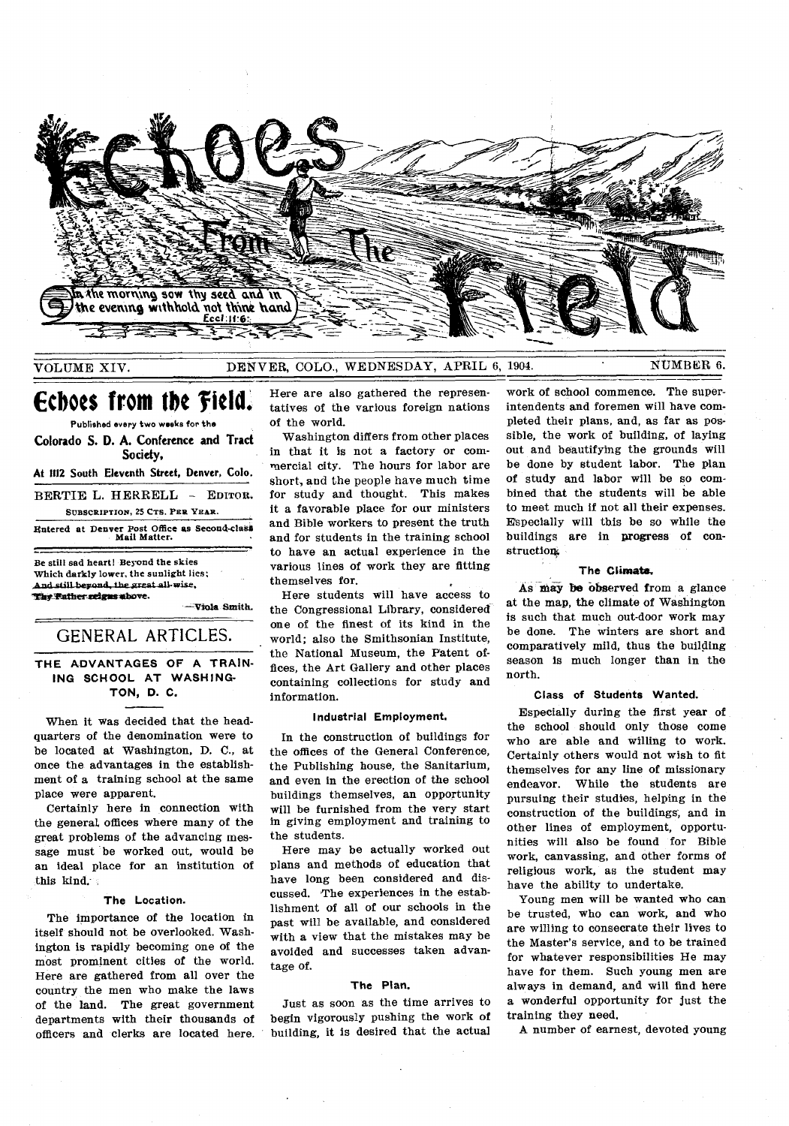

### VOLUME XIV. DENVER, COLO., WEDNESDAY, APRIL 6, 1904. NUMBER 6.

# **Echoes from the 'field.**

Published every two weeks for the **Colorado S. D. A. Conference and Tract Society, At 1112 South Eleventh Street, Denver, Colo.**  BERTIE L. HERRELL - EDITOR. SUBSCRIPTION, 25 CTS. PER YEAR. entered at Denver Post Office as Second-clash Mail Matter.

Be still sad heart! Beyond the skies Which darkly lower, the sunlight lies; And still beyond, the great all wise, 1:k? Itatherzeizarse.bove.

iols Smith.

### GENERAL ARTICLES.

### **THE ADVANTAGES OF A TRAIN-ING SCHOOL AT WASHING-TON, D. C.**

When it was decided that the headquarters of the denomination were to be located at Washington, D. C., at once the advantages in the establishment of a training school at the same place were apparent.

Certainly here in connection with the general, offices where many of the great problems of the advancing message must be worked out, would be an ideal place for an institution of this kind.

#### **The Location.**

The importance of the location in itself should not be overlooked. Washington is rapidly becoming one of the most prominent cities of the world. Here are gathered from all over the country the men who make the laws of the land. The great government departments with their thousands of officers and clerks are located here. Here are also gathered the representatives of the various foreign nations of the world.

Washington differs from other places in that it is not a factory or commercial city. The hours for labor are short, and the people have much time for study and thought. This makes it a favorable place for our ministers and Bible workers to present the truth and for students in the training school to have an actual experience in the various lines of work they are fitting themselves for.

Here students will have access to the Congressional Library, considered one of the finest of its kind in the world; also the Smithsonian Institute, the National Museum, the Patent offices, the Art Gallery and other places containing collections for study and information.

#### **Industrial Employment.**

In the construction of buildings for the offices of the General Conference, the Publishing house, the Sanitarium, and even in the erection of the school buildings themselves, an opportunity will be furnished from the very start in giving employment and training to the students.

Here may be actually worked out plans and methods of education that have long been considered and discussed. The experiences in the establishment of all of our schools in the past will be available, and considered with a view that the mistakes may be avoided and successes taken advantage of.

### **The Plan.**

Just as soon as the time arrives to begin vigorously pushing the work of building, it is desired that the actual

work of school commence. The superintendents and foremen will have completed their plans, and, as far as possible, the work of building, of laying out and beautifying the grounds will be done by student labor. The plan of study and labor will be so combined that the students will be able to meet much if not all their expenses. Especially will this be so while the buildings are in progress of construction?,

### **The Climate,**

As may be observed from a glance at the map, the climate of Washington is such that much out-door work may be done. The winters are short and comparatively mild, thus the building season is much longer than in the north.

#### **Class of Students Wanted.**

Especially during the first year of the school should only those come who are able and willing to work. Certainly others would not wish to fit themselves for any line of missionary endeavor. While the students are pursuing their studies, helping in the construction of the buildings; and in other lines of employment, opportunities will also be found for Bible work, canvassing, and other forms of religious work, as the student may have the ability to undertake.

Young men will be wanted who can be trusted, who can work, and who are willing to consecrate their lives to the Master's service, and to be trained for whatever responsibilities He may have for them. Such young men are always in demand, and will find here a wonderful opportunity for just the training they need.

A number of earnest, devoted young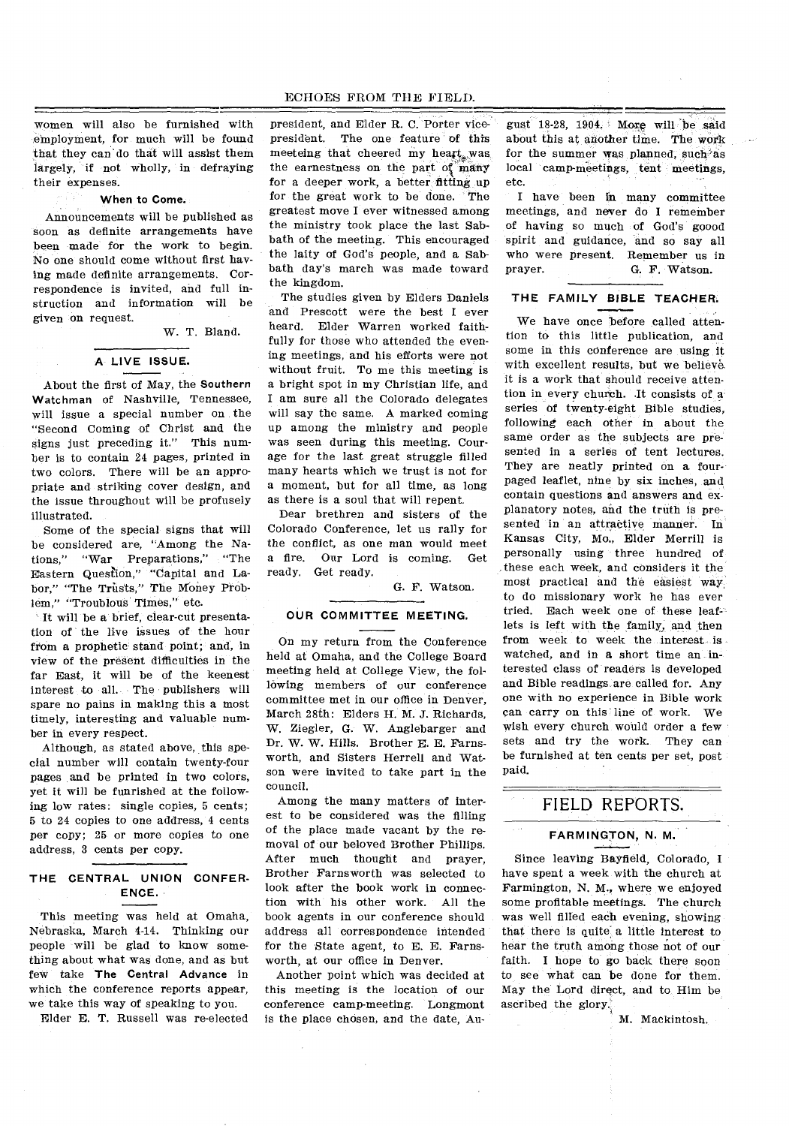women will also be furnished with employment, for much will be found that they can'do that will assist them largely, if not wholly, in defraying their expenses.

#### **When to Come.**

Announcements will be published as soon as definite arrangements have been made for the work to begin. No one should come without first having made definite arrangements. Correspondence is invited, and full instruction and information will be given on request.

W. T. Bland.

### **A LIVE ISSUE.**

About the first of May, the **Southern Watchman** of Nashville, Tennessee, will issue a special number on the "Second Coming of Christ and the signs just preceding it." This number is to contain 24 pages, printed in two colors. There will be an appropriate and striking cover design, and the issue throughout will be profusely illustrated.

Some of the special signs that will be considered are, "Among the Nations," "War Preparations," "The Eastern Question," "Capital and Labor," "The Trusts," The Money Problem," "Troublous Times," etc.

It will be a brief, clear-cut presentation of the live issues of the hour from a prophetic stand point; and, in view of the present difficulties in the far East, it will be of the keenest interest to all. The publishers will spare no pains in making this a most timely, interesting and valuable number in every respect.

Although, as stated above, this special number will contain twenty-four pages and be printed in two colors, yet it will be funrished at the following low rates: single copies, 5 cents; 5 to 24 copies to one address, 4 cents per copy; 25 or more copies to one address, 3 cents per copy.

### **THE CENTRAL UNION CONFER-ENCE.**

This meeting was held at Omaha, Nebraska, March 4-14. Thinking our people will be glad to know something about what was done, and as but few take **The Central Advance** in which the conference reports appear, we take this way of speaking to you.

Elder E. T. Russell was re-elected

president, and Elder R. C. Porter vicepresident. The one feature of this meeteing that cheered my heart, was the earnestness on the part of many for a deeper work, a better fitting up for the great work to be done. The greatest move I ever witnessed among the ministry took place the last Sabbath of the meeting. This encouraged the laity of God's people, and a Sabbath day's march was made toward the kingdom.

The studies given by Elders Daniels and Prescott were the best I ever heard. Elder Warren worked faithfully for those who attended the evening meetings, and his efforts were not without fruit. To me this meeting is a bright spot in my Christian life, and I am sure all the Colorado delegates will say the same. A marked coming up among the ministry and people was seen during this meeting. Courage for the last great struggle filled many hearts which we trust is not for a moment, but for all time, as long as there is a soul that will repent.

Dear brethren and sisters of the Colorado Conference, let us rally for the conflict, as one man would meet a fire. Our Lord is coming. Get ready. Get ready.

G. F. Watson.

#### **OUR COMMITTEE MEETING.**

On my return from the Conference held at Omaha, and the College Board meeting held at College View, the following members of our conference committee met in our office in Denver, March 28th: Elders H. M. J. Richards, W. Ziegler, G. W. Anglebarger and Dr. W. W. Hills. Brother E. E. Farnsworth, and Sisters Herrell and Watson were invited to take part in the council.

Among the many matters of interest to be considered was the filling of the place made vacant by the removal of our beloved Brother Phillips. After much thought and prayer, Brother Farnsworth was selected to look after the book work in connection with his other work. All the book agents in our conference should address all correspondence intended for the State agent, to E. E. Farnsworth, at our office in Denver.

Another point which was decided at this meeting is the location of our conference camp-meeting. Longmont is the place chosen, and the date, August 18-28, 1904. More will 'be said about this at another time. The work for the summer was planned, such'as local camp-meetings, tent meetings, etc.

I have been in many committee meetings, and never do I remember of having so much of God's g000d spirit and guidance, and so say all who were present. Remember us in prayer. G. F. Watson.

### **THE FAMILY BIBLE TEACHER.**

We have once before called attention to this little publication, and some in this conference are using it with excellent results, but we believe it is a work that should receive attention in every church. .It consists of a series Of twenty-eight Bible studies, following each other in about the same order as the subjects are presented in a series of tent lectures. They are neatly printed on a fourpaged leaflet, nine by six inches, and contain questions and answers and explanatory notes, and the truth is presented in an attractive manner. In Kansas City, Mo., Elder Merrill is personally using three hundred of these each week, and considers it the most practical and the easiest way to do missionary work he has ever tried. Each week one of these leaflets is left with the family, and then from week to week the interest is watched, and in **a** short time an-interested class of readers is developed and Bible readings are called for. Any one with no experience in Bible work can carry on this line of work. We wish every church would order a few sets and try the work. They can be furnished at ten cents per set, post paid.

## FIELD REPORTS.

### **FARMINGTON, N. M.**

Since leaving Bayfield, Colorado, I have spent a week with the church at Farmington, N. M., where we enjoyed some profitable meetings. The church was well filled each evening, showing that there is quite a little interest to hear the truth among those not of our faith. I hope to go back there soon to see what can be done for them. May the Lord direct, and to. Him be ascribed the glory.

M. Mackintosh.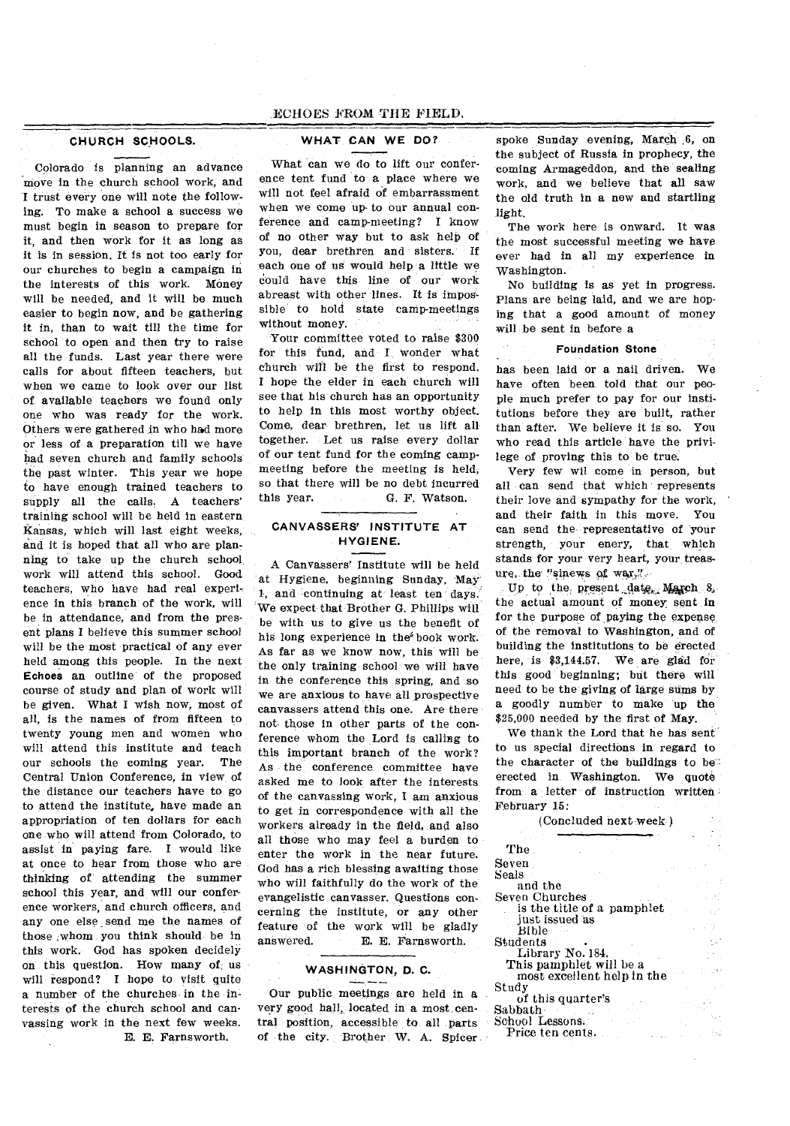### ECHOES FROM THE FIELD,

#### **CHURCH SCHOOLS.**

Colorado is planning an advance move in the church school work, and I trust every one will note the following. To make a school a success we must begin in season to prepare for it, and then work for it as long as it is in session. It is not too early for our churches to begin a campaign in the interests of this work. Money will be needed, and it will be much easier to begin now, and be gathering it in, than to wait till the time for school to open and then try to raise all the funds. Last year there were calls for about fifteen teachers, but when we came to look over our list of available teachers we found only one who was ready for the work. Others were gathered in who had more or less of a preparation till we have had seven church and family schools the past winter. This year we hope to have enough trained teachers to supply all the calls. A teachers' training school will be held in eastern Kansas, which will last eight weeks, and it is hoped that all who are planning to take up the church school work will attend this school. Good teachers, who have had real experience in this branch of the work, will be in attendance, and from the present plans I believe this summer school will be the most practical of any ever held among this people. In the next **Echoes** an outline of the proposed course of study and plan of work will be given. What I wish now, most of all, is the names of from fifteen to twenty young men and women who will attend this institute and teach our schools the coming year. The Central Union Conference, in view of the distance our teachers have to go to attend the institute, have made an appropriation of ten dollars for each one who will attend from Colorado, to assist in paying fare. I would like at once to hear from those who are thinking of attending the summer school this year, and will our conference workers, and church officers, and any one else send me the names of those ,whom you think should be in this work. God has spoken decidely on this question. How many of, us will respond? I hope to visit quite a number of the churches in the interests of the church school and canvassing work in the next few weeks. E. E. Farnsworth,

### **WHAT CAN WE DO?**

What can we do to lift our conference tent fund to a place where we will not feel afraid of embarrassment when we come up- to our annual conference and camp-meeting? I know of no other way but to ask help of you, dear brethren and sisters. If each one of us would help a little we could have this line of our work abreast with other lines. It is impossible to hold state camp-meetings without money.

Your committee voted to raise \$300 for this fund, and I wonder what church will be the first to respond. I hope the elder in each church will see that his church has an opportunity to help in this most worthy object. Come, dear brethren, let us lift all together. Let us raise every dollar of our tent fund for the coming campmeeting before the meeting is held, so that there will be no debt incurred this year. G. F. Watson.

### **CANVASSERS' INSTITUTE AT HYGIENE.**

A Canvassers' Institute will be held at Hygiene, beginning Sunday, May 1, and continuing at least ten days. We expect that Brother G. Phillips will be with us to give us the benefit of his long experience in the book work. As far as we know now, this will be the only training school we will have in the conference this spring, and so we are anxious to have all prospective canvassers attend this one. Are there not those in other parts of the conference whom the Lord is calling to this important branch of the work? As the conference committee have asked me to look after the interests of the canvassing work, I am anxious to get in correspondence with all the workers already in the field, and also all those who may feel a burden to enter the work in the near future. God has a rich blessing awaiting those who will faithfully do the work of the evangelistic canvasser. Questions concerning the institute, or any other feature of the work will be gladly answered. E. E. Farnsworth.

### **WASHINGTON, D. C.**

Our public meetings are held in a very good hall, located *in* a most central position, accessible to all parts of the city. Brother W. A. Spicer

spoke Sunday evening, March 6, on the subject of Russia in prophecy, the coming Armageddon, and the sealing work, and we believe that all saw the old truth in a new and startling light.

The work here is onward. It was the most successful meeting we have ever had in all my experience in Washington.

No building is as yet in progress. Plans are being laid, and we are hoping that a good amount of money will be sent in before a

#### **Foundation Stone**

has been laid or a nail driven. We have often been told that our people much prefer to pay for our institutions before they are built, rather than after. We believe it is so. You who read this article have the privilege of proving this to be true.

Very few wil come in person, but all can send that which represents their love and sympathy for the work, and their faith in this move. You can send the representative of your strength, your enery, that which stands for your very heart, your treasure, the "sinews of war,".

Up to the, present date, March 8, the actual amount of money, sent in for the purpose of paying the expense of the removal to. Washington, and of building the institutions to be erected here, is \$3,144.57. We are glad for this good beginning; but there will need to be the giving of large sums by a goodly number to make up the \$25,000 needed by the first of May.

We thank the Lord that he has sent' to us special directions in regard to the character of the buildings to be erected in. Washington. We quote from a letter of instruction written February 15:

(Concluded next week )

| The <sub>1</sub>                                      |                      |
|-------------------------------------------------------|----------------------|
| Seven                                                 | $\omega = 10^{-10}$  |
| Seals                                                 |                      |
| and the                                               |                      |
| Seven Churches                                        | ing a show and       |
| is the title of a pamphlet                            |                      |
| just issued as                                        |                      |
| - Bible - ---                                         | <b>Service State</b> |
| Students                                              |                      |
| Library No. 184.                                      |                      |
| This pamphlet will be a                               |                      |
| $\frac{1}{2}$ most excellent help in the              |                      |
| Study                                                 |                      |
| of this quarter's                                     |                      |
| Sabbath-<br>in King Cod                               |                      |
| School Lessons.∶                                      |                      |
| Price ten cents.<br>the company's company's company's |                      |